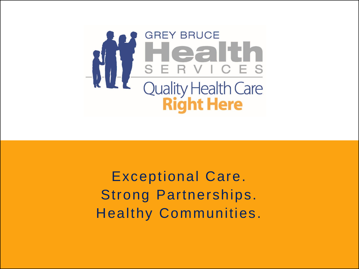

Exceptional Care. Strong Partnerships. Healthy Communities.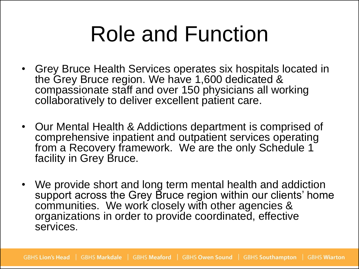## Role and Function

- Grey Bruce Health Services operates six hospitals located in the Grey Bruce region. We have 1,600 dedicated & compassionate staff and over 150 physicians all working collaboratively to deliver excellent patient care.
- Our Mental Health & Addictions department is comprised of comprehensive inpatient and outpatient services operating from a Recovery framework. We are the only Schedule 1 facility in Grey Bruce.
- We provide short and long term mental health and addiction support across the Grey Bruce region within our clients' home communities. We work closely with other agencies & organizations in order to provide coordinated, effective services.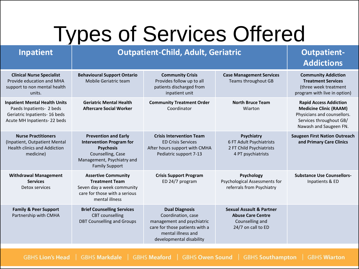### Types of Services Offered

#### **Inpatient Dutpatient-Child, Adult, Geriatric Cutpatient-**

|                                                                                                                                  |                                                                                                                                                                |                                                                                                                                                               |                                                                                                          | <b>Addictions</b>                                                                                                                                  |
|----------------------------------------------------------------------------------------------------------------------------------|----------------------------------------------------------------------------------------------------------------------------------------------------------------|---------------------------------------------------------------------------------------------------------------------------------------------------------------|----------------------------------------------------------------------------------------------------------|----------------------------------------------------------------------------------------------------------------------------------------------------|
| <b>Clinical Nurse Specialist</b><br>Provide education and MHA<br>support to non mental health<br>units.                          | <b>Behavioural Support Ontario</b><br>Mobile Geriatric team                                                                                                    | <b>Community Crisis</b><br>Provides follow up to all<br>patients discharged from<br>inpatient unit                                                            | <b>Case Management Services</b><br><b>Teams throughout GB</b>                                            | <b>Community Addiction</b><br><b>Treatment Services</b><br>(three week treatment<br>program with live in option)                                   |
| <b>Inpatient Mental Health Units</b><br>Paeds Inpatients- 2 beds<br>Geriatric Inpatients- 16 beds<br>Acute MH Inpatients-22 beds | <b>Geriatric Mental Health</b><br><b>Aftercare Social Worker</b>                                                                                               | <b>Community Treatment Order</b><br>Coordinator                                                                                                               | <b>North Bruce Team</b><br>Wiarton                                                                       | <b>Rapid Access Addiction</b><br><b>Medicine Clinic (RAAM)</b><br>Physicians and counsellors.<br>Services throughout GB/<br>Nawash and Saugeen FN. |
| <b>Nurse Practitioners</b><br>(Inpatient, Outpatient Mental<br><b>Health clinics and Addiction</b><br>medicine)                  | <b>Prevention and Early</b><br><b>Intervention Program for</b><br><b>Psychosis</b><br>Counselling, Case<br>Management, Psychiatry and<br><b>Family Support</b> | <b>Crisis Intervention Team</b><br><b>ED Crisis Services</b><br>After hours support with CMHA<br>Pediatric support 7-13                                       | <b>Psychiatry</b><br>6 FT Adult Psychiatrists<br>2 FT Child Psychiatrists<br>4 PT psychiatrists          | <b>Saugeen First Nation Outreach</b><br>and Primary Care Clinics                                                                                   |
| <b>Withdrawal Management</b><br><b>Services</b><br>Detox services                                                                | <b>Assertive Community</b><br><b>Treatment Team</b><br>Seven day a week community<br>care for those with a serious<br>mental illness                           | <b>Crisis Support Program</b><br>ED 24/7 program                                                                                                              | <b>Psychology</b><br>Psychological Assessments for<br>referrals from Psychiatry                          | <b>Substance Use Counsellors-</b><br>Inpatients & ED                                                                                               |
| <b>Family &amp; Peer Support</b><br>Partnership with CMHA                                                                        | <b>Brief Counselling Services</b><br><b>CBT</b> counselling<br><b>DBT Counselling and Groups</b>                                                               | <b>Dual Diagnosis</b><br>Coordination, case<br>management and psychiatric<br>care for those patients with a<br>mental illness and<br>developmental disability | <b>Sexual Assault &amp; Partner</b><br><b>Abuse Care Centre</b><br>Counselling and<br>24/7 on call to ED |                                                                                                                                                    |

GBHS Lion's Head | GBHS Markdale | GBHS Meaford | GBHS Owen Sound | GBHS Southampton **GBHS Wiarton**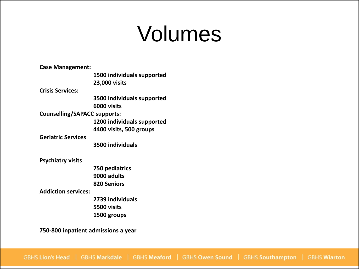### Volumes

| <b>Case Management:</b>             |                            |  |
|-------------------------------------|----------------------------|--|
|                                     | 1500 individuals supported |  |
|                                     | 23,000 visits              |  |
| <b>Crisis Services:</b>             |                            |  |
|                                     | 3500 individuals supported |  |
|                                     | 6000 visits                |  |
| <b>Counselling/SAPACC supports:</b> |                            |  |
|                                     | 1200 individuals supported |  |
|                                     | 4400 visits, 500 groups    |  |
| <b>Geriatric Services</b>           |                            |  |
|                                     | 3500 individuals           |  |
|                                     |                            |  |
| <b>Psychiatry visits</b>            |                            |  |
|                                     | 750 pediatrics             |  |
|                                     | 9000 adults                |  |
|                                     | 820 Seniors                |  |
| <b>Addiction services:</b>          |                            |  |
|                                     | 2739 individuals           |  |
|                                     | 5500 visits                |  |
|                                     | 1500 groups                |  |
|                                     |                            |  |
| 750-800 inpatient admissions a year |                            |  |